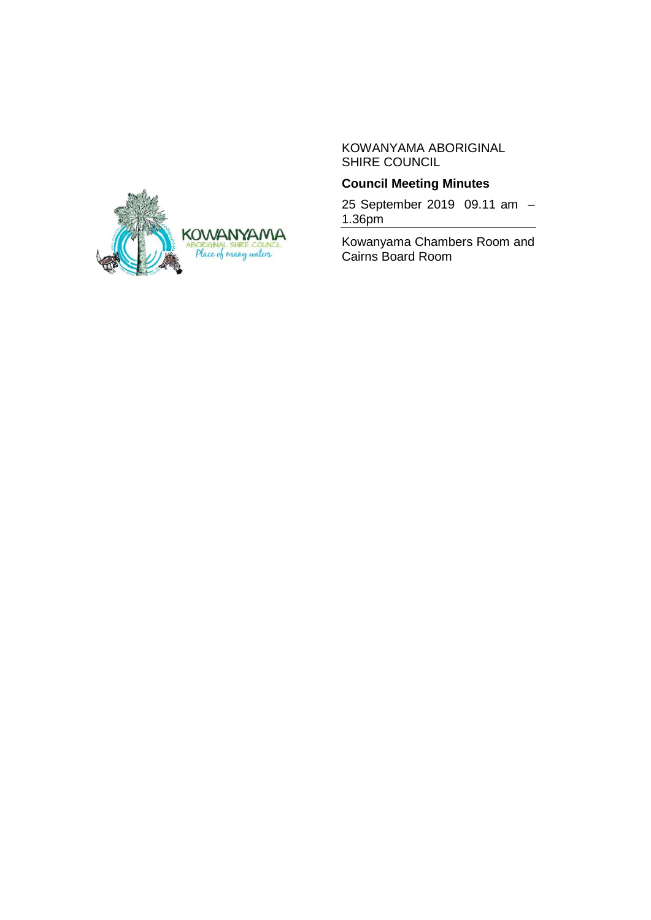KOWANYAMA ABORIGINAL SHIRE COUNCIL



25 September 2019 09.11 am – 1.36pm

Kowanyama Chambers Room and Cairns Board Room

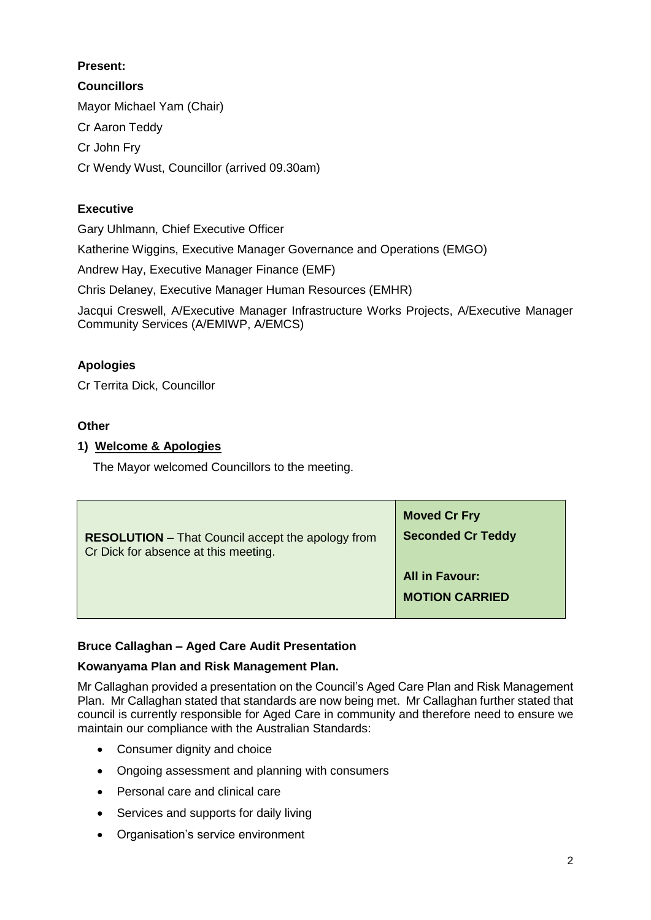# **Present:**

**Councillors** Mayor Michael Yam (Chair) Cr Aaron Teddy Cr John Fry Cr Wendy Wust, Councillor (arrived 09.30am)

# **Executive**

Gary Uhlmann, Chief Executive Officer

Katherine Wiggins, Executive Manager Governance and Operations (EMGO)

Andrew Hay, Executive Manager Finance (EMF)

Chris Delaney, Executive Manager Human Resources (EMHR)

Jacqui Creswell, A/Executive Manager Infrastructure Works Projects, A/Executive Manager Community Services (A/EMIWP, A/EMCS)

# **Apologies**

Cr Territa Dick, Councillor

# **Other**

# **1) Welcome & Apologies**

The Mayor welcomed Councillors to the meeting.

| <b>RESOLUTION - That Council accept the apology from</b> | <b>Moved Cr Fry</b>                            |
|----------------------------------------------------------|------------------------------------------------|
| Cr Dick for absence at this meeting.                     | <b>Seconded Cr Teddy</b>                       |
|                                                          | <b>All in Favour:</b><br><b>MOTION CARRIED</b> |

# **Bruce Callaghan – Aged Care Audit Presentation**

## **Kowanyama Plan and Risk Management Plan.**

Mr Callaghan provided a presentation on the Council's Aged Care Plan and Risk Management Plan. Mr Callaghan stated that standards are now being met. Mr Callaghan further stated that council is currently responsible for Aged Care in community and therefore need to ensure we maintain our compliance with the Australian Standards:

- Consumer dignity and choice
- Ongoing assessment and planning with consumers
- Personal care and clinical care
- Services and supports for daily living
- Organisation's service environment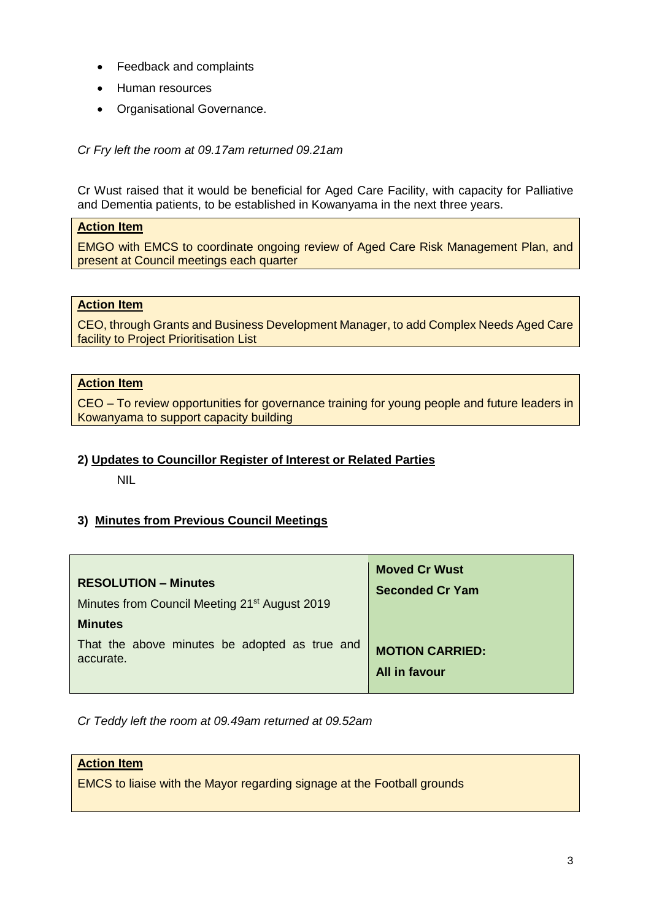- Feedback and complaints
- Human resources
- Organisational Governance.

*Cr Fry left the room at 09.17am returned 09.21am*

Cr Wust raised that it would be beneficial for Aged Care Facility, with capacity for Palliative and Dementia patients, to be established in Kowanyama in the next three years.

#### **Action Item**

EMGO with EMCS to coordinate ongoing review of Aged Care Risk Management Plan, and present at Council meetings each quarter

## **Action Item**

CEO, through Grants and Business Development Manager, to add Complex Needs Aged Care facility to Project Prioritisation List

#### **Action Item**

CEO – To review opportunities for governance training for young people and future leaders in Kowanyama to support capacity building

#### **2) Updates to Councillor Register of Interest or Related Parties**

NIL

#### **3) Minutes from Previous Council Meetings**

| <b>RESOLUTION – Minutes</b>                               | <b>Moved Cr Wust</b>   |
|-----------------------------------------------------------|------------------------|
| Minutes from Council Meeting 21 <sup>st</sup> August 2019 | <b>Seconded Cr Yam</b> |
| <b>Minutes</b>                                            |                        |
| That the above minutes be adopted as true and             | <b>MOTION CARRIED:</b> |
| accurate.                                                 | All in favour          |

*Cr Teddy left the room at 09.49am returned at 09.52am*

#### **Action Item**

EMCS to liaise with the Mayor regarding signage at the Football grounds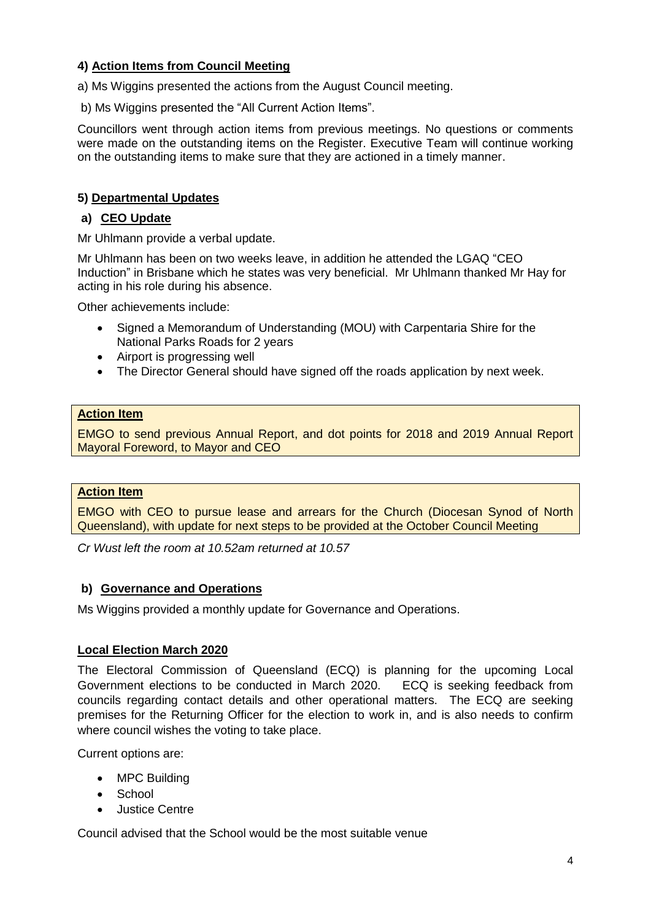## **4) Action Items from Council Meeting**

a) Ms Wiggins presented the actions from the August Council meeting.

b) Ms Wiggins presented the "All Current Action Items".

Councillors went through action items from previous meetings. No questions or comments were made on the outstanding items on the Register. Executive Team will continue working on the outstanding items to make sure that they are actioned in a timely manner.

## **5) Departmental Updates**

## **a) CEO Update**

Mr Uhlmann provide a verbal update.

Mr Uhlmann has been on two weeks leave, in addition he attended the LGAQ "CEO Induction" in Brisbane which he states was very beneficial. Mr Uhlmann thanked Mr Hay for acting in his role during his absence.

Other achievements include:

- Signed a Memorandum of Understanding (MOU) with Carpentaria Shire for the National Parks Roads for 2 years
- Airport is progressing well
- The Director General should have signed off the roads application by next week.

## **Action Item**

EMGO to send previous Annual Report, and dot points for 2018 and 2019 Annual Report Mayoral Foreword, to Mayor and CEO

## **Action Item**

EMGO with CEO to pursue lease and arrears for the Church (Diocesan Synod of North Queensland), with update for next steps to be provided at the October Council Meeting

*Cr Wust left the room at 10.52am returned at 10.57*

## **b) Governance and Operations**

Ms Wiggins provided a monthly update for Governance and Operations.

## **Local Election March 2020**

The Electoral Commission of Queensland (ECQ) is planning for the upcoming Local Government elections to be conducted in March 2020. ECQ is seeking feedback from councils regarding contact details and other operational matters. The ECQ are seeking premises for the Returning Officer for the election to work in, and is also needs to confirm where council wishes the voting to take place.

Current options are:

- MPC Building
- School
- Justice Centre

Council advised that the School would be the most suitable venue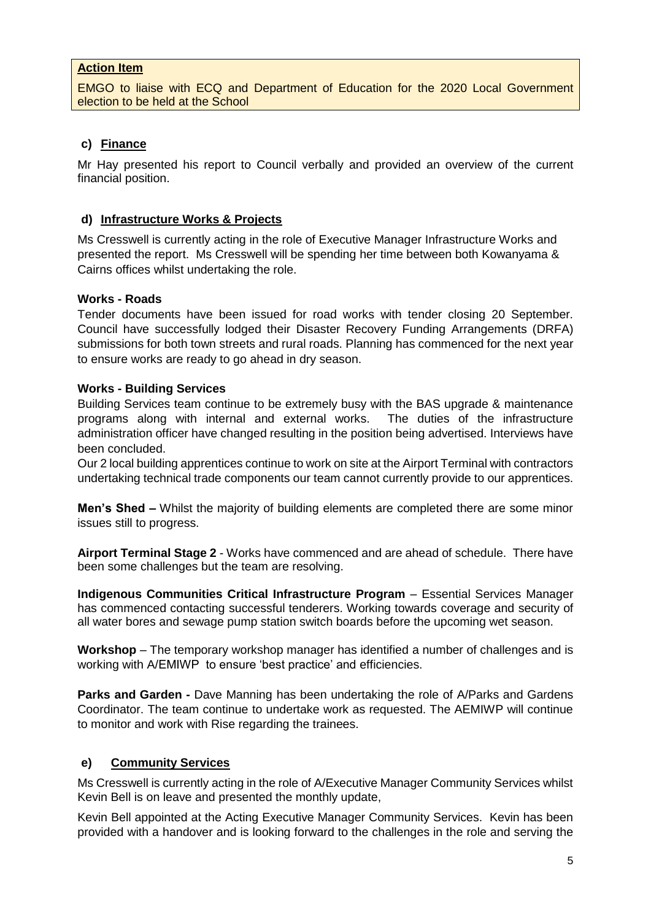#### **Action Item**

EMGO to liaise with ECQ and Department of Education for the 2020 Local Government election to be held at the School

## **c) Finance**

Mr Hay presented his report to Council verbally and provided an overview of the current financial position.

#### **d) Infrastructure Works & Projects**

Ms Cresswell is currently acting in the role of Executive Manager Infrastructure Works and presented the report. Ms Cresswell will be spending her time between both Kowanyama & Cairns offices whilst undertaking the role.

#### **Works - Roads**

Tender documents have been issued for road works with tender closing 20 September. Council have successfully lodged their Disaster Recovery Funding Arrangements (DRFA) submissions for both town streets and rural roads. Planning has commenced for the next year to ensure works are ready to go ahead in dry season.

#### **Works - Building Services**

Building Services team continue to be extremely busy with the BAS upgrade & maintenance programs along with internal and external works. The duties of the infrastructure administration officer have changed resulting in the position being advertised. Interviews have been concluded.

Our 2 local building apprentices continue to work on site at the Airport Terminal with contractors undertaking technical trade components our team cannot currently provide to our apprentices.

**Men's Shed** *–* Whilst the majority of building elements are completed there are some minor issues still to progress.

**Airport Terminal Stage 2** - Works have commenced and are ahead of schedule. There have been some challenges but the team are resolving.

**Indigenous Communities Critical Infrastructure Program** – Essential Services Manager has commenced contacting successful tenderers. Working towards coverage and security of all water bores and sewage pump station switch boards before the upcoming wet season.

**Workshop** – The temporary workshop manager has identified a number of challenges and is working with A/EMIWP to ensure 'best practice' and efficiencies.

**Parks and Garden -** Dave Manning has been undertaking the role of A/Parks and Gardens Coordinator. The team continue to undertake work as requested. The AEMIWP will continue to monitor and work with Rise regarding the trainees.

#### **e) Community Services**

Ms Cresswell is currently acting in the role of A/Executive Manager Community Services whilst Kevin Bell is on leave and presented the monthly update,

Kevin Bell appointed at the Acting Executive Manager Community Services. Kevin has been provided with a handover and is looking forward to the challenges in the role and serving the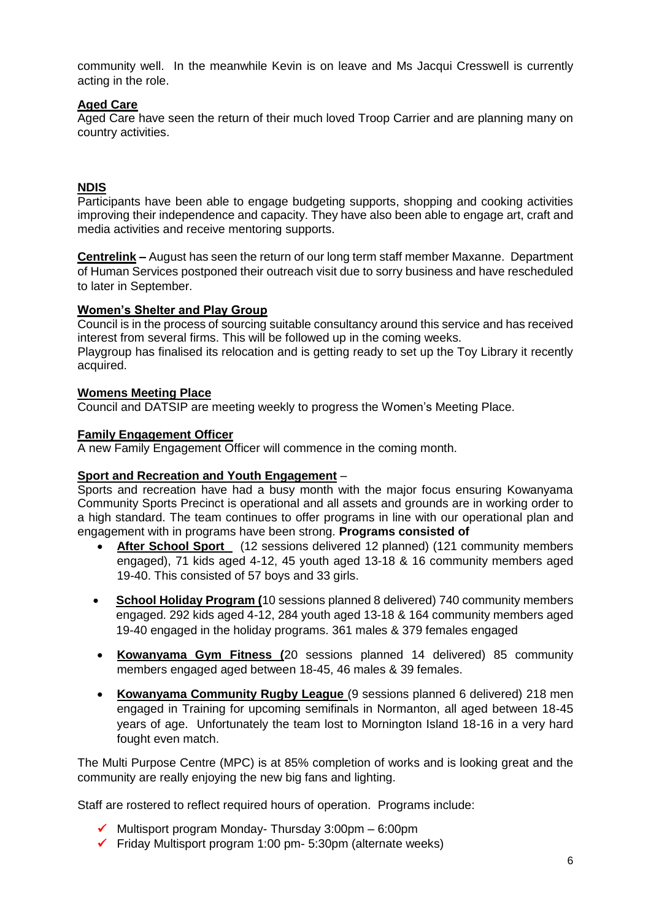community well. In the meanwhile Kevin is on leave and Ms Jacqui Cresswell is currently acting in the role.

## **Aged Care**

Aged Care have seen the return of their much loved Troop Carrier and are planning many on country activities.

## **NDIS**

Participants have been able to engage budgeting supports, shopping and cooking activities improving their independence and capacity. They have also been able to engage art, craft and media activities and receive mentoring supports.

**Centrelink –** August has seen the return of our long term staff member Maxanne. Department of Human Services postponed their outreach visit due to sorry business and have rescheduled to later in September.

#### **Women's Shelter and Play Group**

Council is in the process of sourcing suitable consultancy around this service and has received interest from several firms. This will be followed up in the coming weeks.

Playgroup has finalised its relocation and is getting ready to set up the Toy Library it recently acquired.

#### **Womens Meeting Place**

Council and DATSIP are meeting weekly to progress the Women's Meeting Place.

#### **Family Engagement Officer**

A new Family Engagement Officer will commence in the coming month.

#### **Sport and Recreation and Youth Engagement** –

Sports and recreation have had a busy month with the major focus ensuring Kowanyama Community Sports Precinct is operational and all assets and grounds are in working order to a high standard. The team continues to offer programs in line with our operational plan and engagement with in programs have been strong. **Programs consisted of** 

- **After School Sport** (12 sessions delivered 12 planned) (121 community members engaged), 71 kids aged 4-12, 45 youth aged 13-18 & 16 community members aged 19-40. This consisted of 57 boys and 33 girls.
- **School Holiday Program (**10 sessions planned 8 delivered) 740 community members engaged. 292 kids aged 4-12, 284 youth aged 13-18 & 164 community members aged 19-40 engaged in the holiday programs. 361 males & 379 females engaged
- **Kowanyama Gym Fitness (**20 sessions planned 14 delivered) 85 community members engaged aged between 18-45, 46 males & 39 females.
- **Kowanyama Community Rugby League** (9 sessions planned 6 delivered) 218 men engaged in Training for upcoming semifinals in Normanton, all aged between 18-45 years of age. Unfortunately the team lost to Mornington Island 18-16 in a very hard fought even match.

The Multi Purpose Centre (MPC) is at 85% completion of works and is looking great and the community are really enjoying the new big fans and lighting.

Staff are rostered to reflect required hours of operation. Programs include:

- $\checkmark$  Multisport program Monday-Thursday 3:00pm 6:00pm
- $\checkmark$  Friday Multisport program 1:00 pm- 5:30pm (alternate weeks)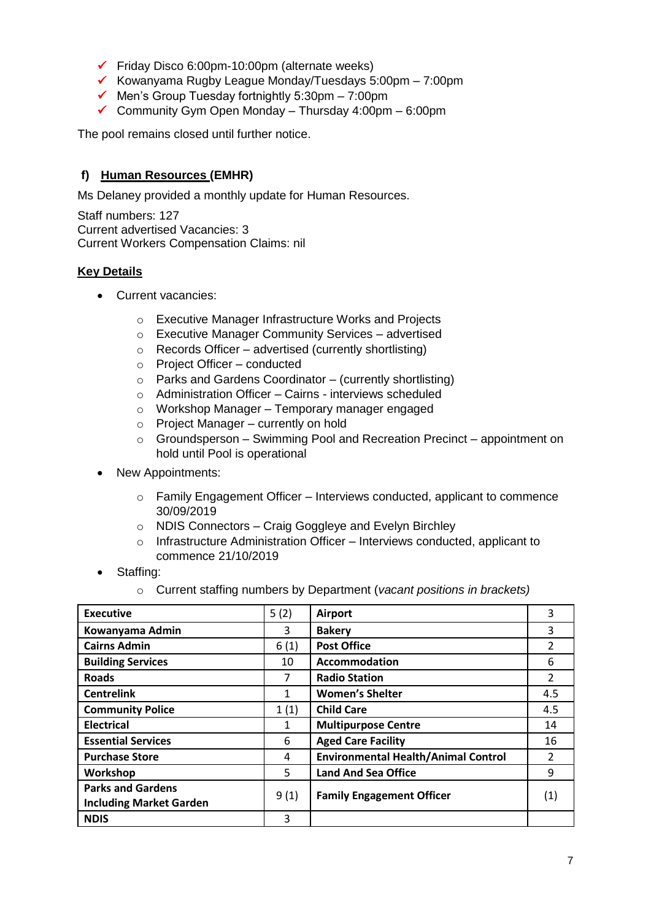- ✓ Friday Disco 6:00pm-10:00pm (alternate weeks)
- $\checkmark$  Kowanyama Rugby League Monday/Tuesdays 5:00pm 7:00pm
- $\checkmark$  Men's Group Tuesday fortnightly 5:30pm 7:00pm
- ✓ Community Gym Open Monday Thursday 4:00pm 6:00pm

The pool remains closed until further notice.

## **f) Human Resources (EMHR)**

Ms Delaney provided a monthly update for Human Resources.

Staff numbers: 127 Current advertised Vacancies: 3 Current Workers Compensation Claims: nil

## **Key Details**

- Current vacancies:
	- o Executive Manager Infrastructure Works and Projects
	- o Executive Manager Community Services advertised
	- o Records Officer advertised (currently shortlisting)
	- o Project Officer conducted
	- o Parks and Gardens Coordinator (currently shortlisting)
	- o Administration Officer Cairns interviews scheduled
	- o Workshop Manager Temporary manager engaged
	- o Project Manager currently on hold
	- o Groundsperson Swimming Pool and Recreation Precinct appointment on hold until Pool is operational
- New Appointments:
	- $\circ$  Family Engagement Officer Interviews conducted, applicant to commence 30/09/2019
	- o NDIS Connectors Craig Goggleye and Evelyn Birchley
	- o Infrastructure Administration Officer Interviews conducted, applicant to commence 21/10/2019
- Staffing:
	- o Current staffing numbers by Department (*vacant positions in brackets)*

| <b>Executive</b>               | 5(2) | <b>Airport</b>                             | 3                 |
|--------------------------------|------|--------------------------------------------|-------------------|
| Kowanyama Admin                | 3    | <b>Bakery</b>                              | 3                 |
| <b>Cairns Admin</b>            | 6(1) | <b>Post Office</b>                         | 2                 |
| <b>Building Services</b>       | 10   | <b>Accommodation</b>                       | 6                 |
| <b>Roads</b>                   | 7    | <b>Radio Station</b>                       | $\mathfrak{p}$    |
| <b>Centrelink</b>              | 1    | <b>Women's Shelter</b>                     | 4.5               |
| <b>Community Police</b>        | 1(1) | <b>Child Care</b>                          | 4.5               |
| <b>Electrical</b>              | 1    | <b>Multipurpose Centre</b>                 | 14                |
| <b>Essential Services</b>      | 6    | <b>Aged Care Facility</b>                  | 16                |
| <b>Purchase Store</b>          | 4    | <b>Environmental Health/Animal Control</b> | 2                 |
| Workshop                       | 5    | <b>Land And Sea Office</b>                 | 9                 |
| <b>Parks and Gardens</b>       |      |                                            |                   |
| <b>Including Market Garden</b> | 9(1) | <b>Family Engagement Officer</b>           | $\left( 1\right)$ |
| <b>NDIS</b>                    | 3    |                                            |                   |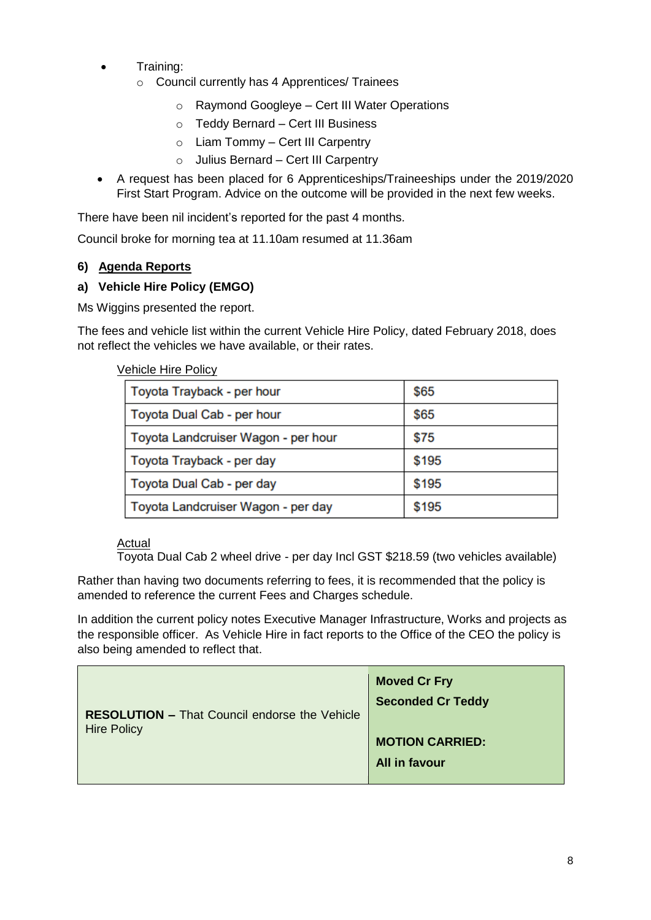- Training:
	- o Council currently has 4 Apprentices/ Trainees
		- o Raymond Googleye Cert III Water Operations
		- o Teddy Bernard Cert III Business
		- o Liam Tommy Cert III Carpentry
		- o Julius Bernard Cert III Carpentry
- A request has been placed for 6 Apprenticeships/Traineeships under the 2019/2020 First Start Program. Advice on the outcome will be provided in the next few weeks.

There have been nil incident's reported for the past 4 months.

Council broke for morning tea at 11.10am resumed at 11.36am

## **6) Agenda Reports**

## **a) Vehicle Hire Policy (EMGO)**

Ms Wiggins presented the report.

The fees and vehicle list within the current Vehicle Hire Policy, dated February 2018, does not reflect the vehicles we have available, or their rates.

## Vehicle Hire Policy

| Toyota Trayback - per hour          | \$65  |
|-------------------------------------|-------|
| Toyota Dual Cab - per hour          | \$65  |
| Toyota Landcruiser Wagon - per hour | \$75  |
| Toyota Trayback - per day           | \$195 |
| Toyota Dual Cab - per day           | \$195 |
| Toyota Landcruiser Wagon - per day  | \$195 |

#### Actual

Toyota Dual Cab 2 wheel drive - per day Incl GST \$218.59 (two vehicles available)

Rather than having two documents referring to fees, it is recommended that the policy is amended to reference the current Fees and Charges schedule.

In addition the current policy notes Executive Manager Infrastructure, Works and projects as the responsible officer. As Vehicle Hire in fact reports to the Office of the CEO the policy is also being amended to reflect that.

|                                                      | <b>Moved Cr Fry</b>      |
|------------------------------------------------------|--------------------------|
| <b>RESOLUTION - That Council endorse the Vehicle</b> | <b>Seconded Cr Teddy</b> |
| <b>Hire Policy</b>                                   | <b>MOTION CARRIED:</b>   |
|                                                      | All in favour            |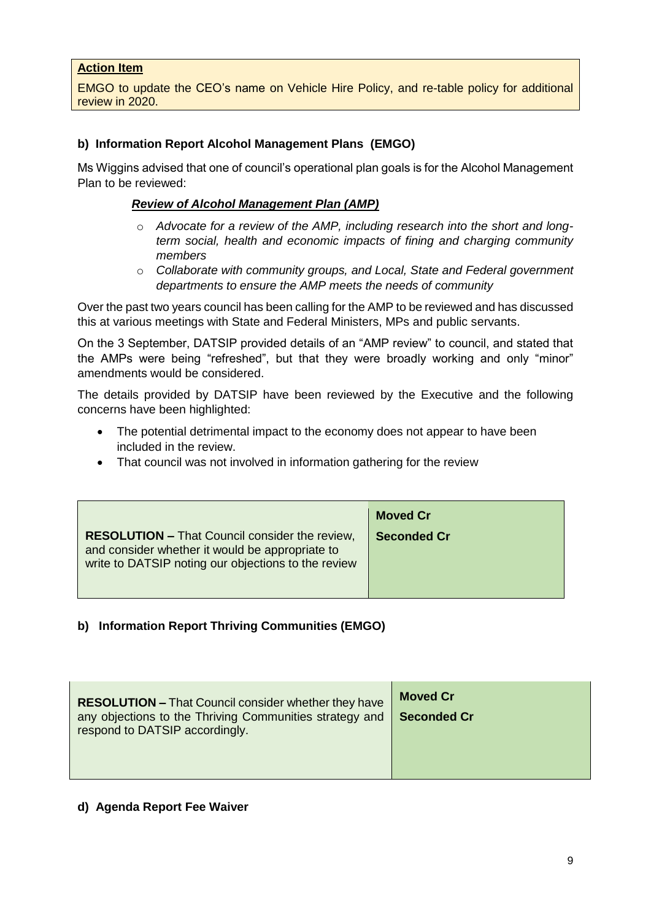#### **Action Item**

EMGO to update the CEO's name on Vehicle Hire Policy, and re-table policy for additional review in 2020.

#### **b) Information Report Alcohol Management Plans (EMGO)**

Ms Wiggins advised that one of council's operational plan goals is for the Alcohol Management Plan to be reviewed:

#### *Review of Alcohol Management Plan (AMP)*

- o *Advocate for a review of the AMP, including research into the short and longterm social, health and economic impacts of fining and charging community members*
- o *Collaborate with community groups, and Local, State and Federal government departments to ensure the AMP meets the needs of community*

Over the past two years council has been calling for the AMP to be reviewed and has discussed this at various meetings with State and Federal Ministers, MPs and public servants.

On the 3 September, DATSIP provided details of an "AMP review" to council, and stated that the AMPs were being "refreshed", but that they were broadly working and only "minor" amendments would be considered.

The details provided by DATSIP have been reviewed by the Executive and the following concerns have been highlighted:

- The potential detrimental impact to the economy does not appear to have been included in the review.
- That council was not involved in information gathering for the review

|                                                                                                                                                                 | <b>Moved Cr</b>    |
|-----------------------------------------------------------------------------------------------------------------------------------------------------------------|--------------------|
| <b>RESOLUTION - That Council consider the review,</b><br>and consider whether it would be appropriate to<br>write to DATSIP noting our objections to the review | <b>Seconded Cr</b> |

#### **b) Information Report Thriving Communities (EMGO)**

| <b>RESOLUTION - That Council consider whether they have</b><br>any objections to the Thriving Communities strategy and<br>respond to DATSIP accordingly. | <b>Moved Cr.</b><br>Seconded Cr |
|----------------------------------------------------------------------------------------------------------------------------------------------------------|---------------------------------|
|----------------------------------------------------------------------------------------------------------------------------------------------------------|---------------------------------|

#### **d) Agenda Report Fee Waiver**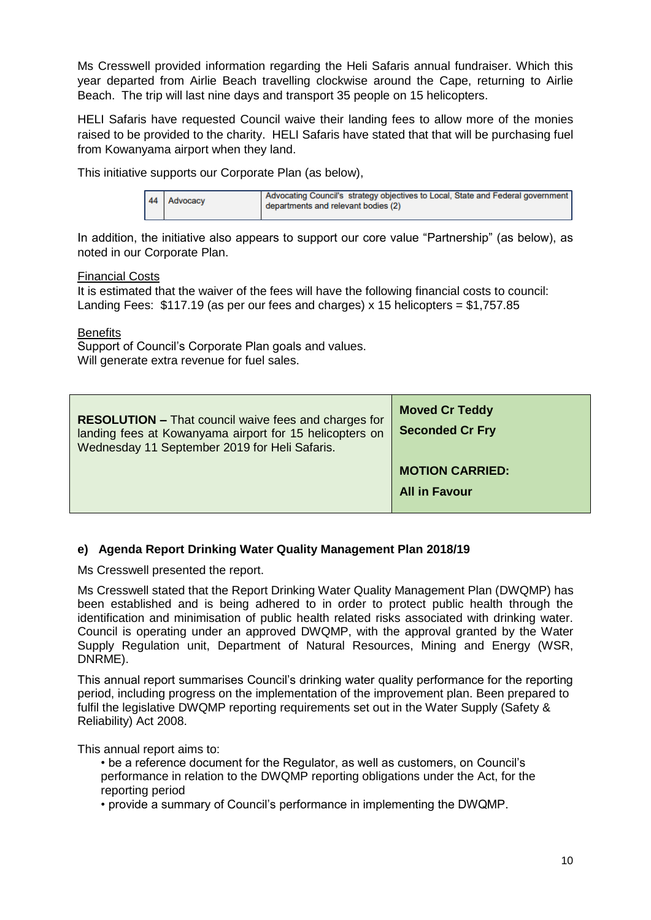Ms Cresswell provided information regarding the Heli Safaris annual fundraiser. Which this year departed from Airlie Beach travelling clockwise around the Cape, returning to Airlie Beach. The trip will last nine days and transport 35 people on 15 helicopters.

HELI Safaris have requested Council waive their landing fees to allow more of the monies raised to be provided to the charity. HELI Safaris have stated that that will be purchasing fuel from Kowanyama airport when they land.

This initiative supports our Corporate Plan (as below),

| 44 Advocacy | Advocating Council's strategy objectives to Local, State and Federal government<br>departments and relevant bodies (2) |
|-------------|------------------------------------------------------------------------------------------------------------------------|
|             |                                                                                                                        |

In addition, the initiative also appears to support our core value "Partnership" (as below), as noted in our Corporate Plan.

#### Financial Costs

It is estimated that the waiver of the fees will have the following financial costs to council: Landing Fees:  $$117.19$  (as per our fees and charges) x 15 helicopters =  $$1,757.85$ 

#### **Benefits**

Support of Council's Corporate Plan goals and values. Will generate extra revenue for fuel sales.

| <b>RESOLUTION - That council waive fees and charges for</b><br>landing fees at Kowanyama airport for 15 helicopters on<br>Wednesday 11 September 2019 for Heli Safaris. | <b>Moved Cr Teddy</b><br><b>Seconded Cr Fry</b> |
|-------------------------------------------------------------------------------------------------------------------------------------------------------------------------|-------------------------------------------------|
|                                                                                                                                                                         | <b>MOTION CARRIED:</b><br><b>All in Favour</b>  |

#### **e) Agenda Report Drinking Water Quality Management Plan 2018/19**

Ms Cresswell presented the report.

Ms Cresswell stated that the Report Drinking Water Quality Management Plan (DWQMP) has been established and is being adhered to in order to protect public health through the identification and minimisation of public health related risks associated with drinking water. Council is operating under an approved DWQMP, with the approval granted by the Water Supply Regulation unit, Department of Natural Resources, Mining and Energy (WSR, DNRME).

This annual report summarises Council's drinking water quality performance for the reporting period, including progress on the implementation of the improvement plan. Been prepared to fulfil the legislative DWQMP reporting requirements set out in the Water Supply (Safety & Reliability) Act 2008.

This annual report aims to:

- be a reference document for the Regulator, as well as customers, on Council's performance in relation to the DWQMP reporting obligations under the Act, for the reporting period
- provide a summary of Council's performance in implementing the DWQMP.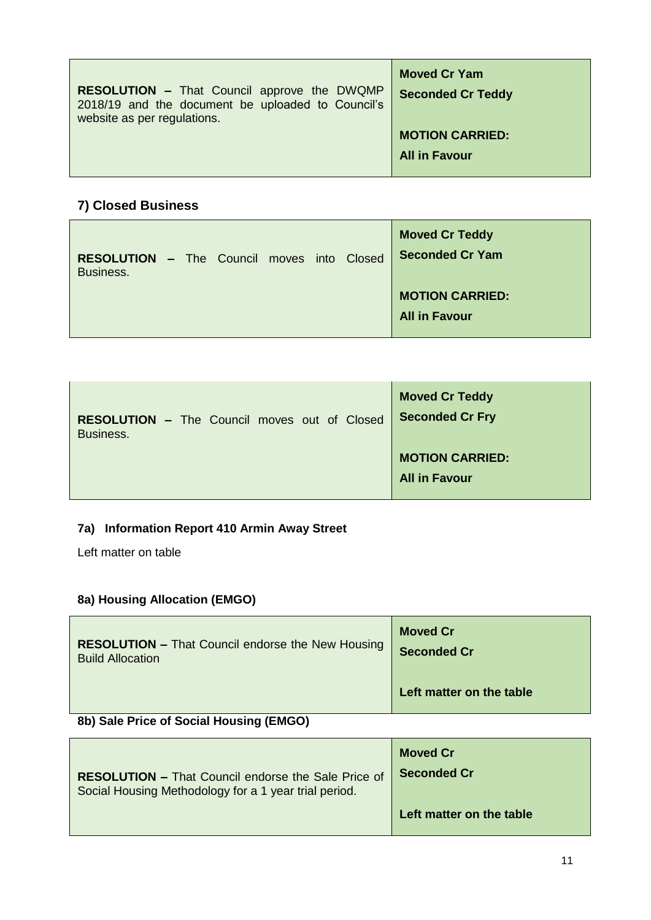| <b>RESOLUTION - That Council approve the DWQMP</b><br>2018/19 and the document be uploaded to Council's<br>website as per regulations. | <b>Moved Cr Yam</b><br><b>Seconded Cr Teddy</b> |
|----------------------------------------------------------------------------------------------------------------------------------------|-------------------------------------------------|
|                                                                                                                                        | <b>MOTION CARRIED:</b><br><b>All in Favour</b>  |

# **7) Closed Business**

| <b>RESOLUTION - The Council moves into Closed</b><br>Business. |  |  |  | <b>Moved Cr Teddy</b><br><b>Seconded Cr Yam</b> |
|----------------------------------------------------------------|--|--|--|-------------------------------------------------|
|                                                                |  |  |  | <b>MOTION CARRIED:</b><br><b>All in Favour</b>  |

| <b>RESOLUTION - The Council moves out of Closed</b> | <b>Moved Cr Teddy</b>                          |
|-----------------------------------------------------|------------------------------------------------|
| Business.                                           | <b>Seconded Cr Fry</b>                         |
|                                                     | <b>MOTION CARRIED:</b><br><b>All in Favour</b> |

# **7a) Information Report 410 Armin Away Street**

Left matter on table

# **8a) Housing Allocation (EMGO)**

| <b>RESOLUTION - That Council endorse the New Housing</b><br><b>Build Allocation</b> | <b>Moved Cr</b><br><b>Seconded Cr</b> |
|-------------------------------------------------------------------------------------|---------------------------------------|
|                                                                                     | Left matter on the table              |
| 8b) Sale Price of Social Housing (EMGO)                                             |                                       |

| <b>RESOLUTION - That Council endorse the Sale Price of</b> | <b>Moved Cr</b>          |
|------------------------------------------------------------|--------------------------|
| Social Housing Methodology for a 1 year trial period.      | <b>Seconded Cr</b>       |
|                                                            | Left matter on the table |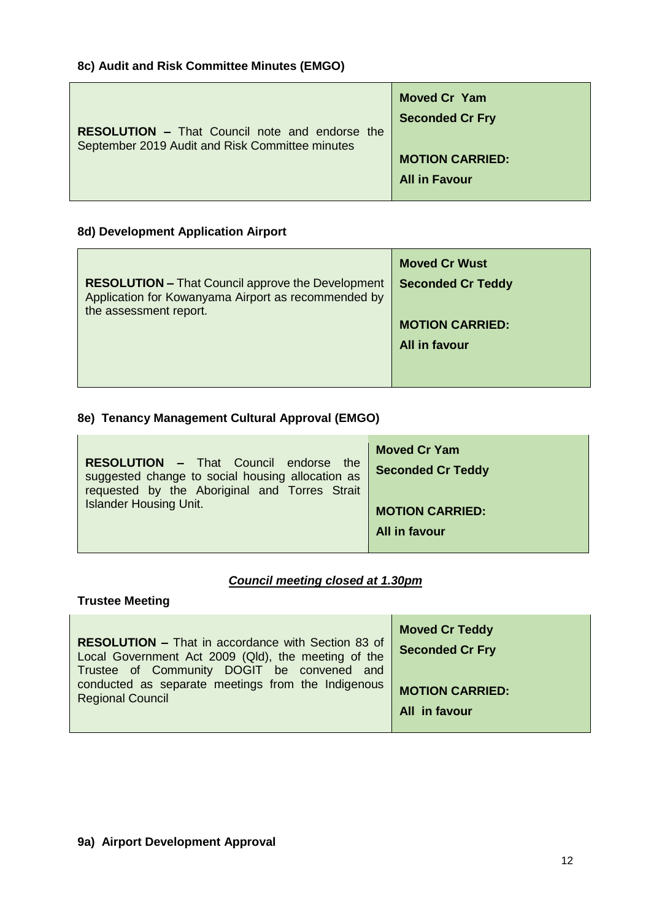| <b>RESOLUTION – That Council note and endorse the</b><br>September 2019 Audit and Risk Committee minutes | <b>Moved Cr Yam</b><br><b>Seconded Cr Fry</b> |
|----------------------------------------------------------------------------------------------------------|-----------------------------------------------|
|                                                                                                          | <b>MOTION CARRIED:</b>                        |
|                                                                                                          | <b>All in Favour</b>                          |

## **8d) Development Application Airport**

| <b>RESOLUTION - That Council approve the Development</b><br>Application for Kowanyama Airport as recommended by<br>the assessment report. | <b>Moved Cr Wust</b><br><b>Seconded Cr Teddy</b><br><b>MOTION CARRIED:</b><br>All in favour |
|-------------------------------------------------------------------------------------------------------------------------------------------|---------------------------------------------------------------------------------------------|
|                                                                                                                                           |                                                                                             |

# **8e) Tenancy Management Cultural Approval (EMGO)**

| <b>RESOLUTION - That Council endorse the</b><br>suggested change to social housing allocation as<br>requested by the Aboriginal and Torres Strait | <b>Moved Cr Yam</b><br><b>Seconded Cr Teddy</b> |
|---------------------------------------------------------------------------------------------------------------------------------------------------|-------------------------------------------------|
| <b>Islander Housing Unit.</b>                                                                                                                     | <b>MOTION CARRIED:</b>                          |
|                                                                                                                                                   | All in favour                                   |

## *Council meeting closed at 1.30pm*

 $\overline{a}$ 

## **Trustee Meeting**

| <b>RESOLUTION - That in accordance with Section 83 of</b><br>Local Government Act 2009 (Qld), the meeting of the<br>Trustee of Community DOGIT be convened and | <b>Moved Cr Teddy</b><br><b>Seconded Cr Fry</b> |
|----------------------------------------------------------------------------------------------------------------------------------------------------------------|-------------------------------------------------|
| conducted as separate meetings from the Indigenous                                                                                                             | <b>MOTION CARRIED:</b>                          |
| <b>Regional Council</b>                                                                                                                                        | All in favour                                   |